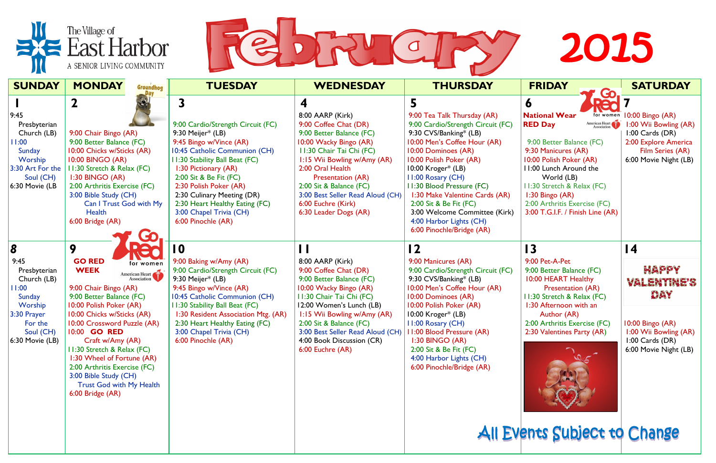



| <b>SUNDAY</b>                                                                                                                                    | <b>MONDAY</b><br>Groundhog                                                                                                                                                                                                                                                                                                                                                                                                     | <b>TUESDAY</b>                                                                                                                                                                                                                                                                                                                                    | <b>WEDNESDAY</b>                                                                                                                                                                                                                                                                                                              | <b>THURSDAY</b>                                                                                                                                                                                                                                                                                                                                                                                                 | <b>FRIDAY</b><br>Go                                                                                                                                                                                                                                                                                                                | <b>SATURDAY</b>                                                                                                                                |
|--------------------------------------------------------------------------------------------------------------------------------------------------|--------------------------------------------------------------------------------------------------------------------------------------------------------------------------------------------------------------------------------------------------------------------------------------------------------------------------------------------------------------------------------------------------------------------------------|---------------------------------------------------------------------------------------------------------------------------------------------------------------------------------------------------------------------------------------------------------------------------------------------------------------------------------------------------|-------------------------------------------------------------------------------------------------------------------------------------------------------------------------------------------------------------------------------------------------------------------------------------------------------------------------------|-----------------------------------------------------------------------------------------------------------------------------------------------------------------------------------------------------------------------------------------------------------------------------------------------------------------------------------------------------------------------------------------------------------------|------------------------------------------------------------------------------------------------------------------------------------------------------------------------------------------------------------------------------------------------------------------------------------------------------------------------------------|------------------------------------------------------------------------------------------------------------------------------------------------|
| 9:45<br>Presbyterian<br>Church (LB)<br>1:00<br>Sunday<br>Worship<br>3:30 Art For the<br>Soul (CH)<br>$6:30$ Movie (LB                            | 9:00 Chair Bingo (AR)<br>9:00 Better Balance (FC)<br>10:00 Chicks w/Sticks (AR)<br><b>10:00 BINGO (AR)</b><br>1:30 Stretch & Relax (FC)<br>1:30 BINGO (AR)<br>2:00 Arthritis Exercise (FC)<br>3:00 Bible Study (CH)<br>Can I Trust God with My<br>Health<br>6:00 Bridge (AR)                                                                                                                                                   | 9:00 Cardio/Strength Circuit (FC)<br>9:30 Meijer* (LB)<br>9:45 Bingo w/Vince (AR)<br>10:45 Catholic Communion (CH)<br>11:30 Stability Ball Beat (FC)<br>1:30 Pictionary (AR)<br>2:00 Sit & Be Fit (FC)<br>2:30 Polish Poker (AR)<br>2:30 Culinary Meeting (DR)<br>2:30 Heart Healthy Eating (FC)<br>3:00 Chapel Trivia (CH)<br>6:00 Pinochle (AR) | 4<br>8:00 AARP (Kirk)<br>9:00 Coffee Chat (DR)<br>9:00 Better Balance (FC)<br>10:00 Wacky Bingo (AR)<br>11:30 Chair Tai Chi (FC)<br>1:15 Wii Bowling w/Amy (AR)<br>2:00 Oral Health<br><b>Presentation (AR)</b><br>2:00 Sit & Balance (FC)<br>3:00 Best Seller Read Aloud (CH)<br>6:00 Euchre (Kirk)<br>6:30 Leader Dogs (AR) | 5.<br>9:00 Tea Talk Thursday (AR)<br>9:00 Cardio/Strength Circuit (FC)<br>9:30 CVS/Banking* (LB)<br>10:00 Men's Coffee Hour (AR)<br>10:00 Dominoes (AR)<br>10:00 Polish Poker (AR)<br>10:00 Kroger* (LB)<br>II:00 Rosary (CH)<br>11:30 Blood Pressure (FC)<br>1:30 Make Valentine Cards (AR)<br>2:00 Sit & Be Fit (FC)<br>3:00 Welcome Committee (Kirk)<br>4:00 Harbor Lights (CH)<br>6:00 Pinochle/Bridge (AR) | <b>DO</b><br>O<br><b>National Wear</b><br>for women<br>American Heart<br><b>RED Day</b><br>9:00 Better Balance (FC)<br>9:30 Manicures (AR)<br>10:00 Polish Poker (AR)<br>11:00 Lunch Around the<br>World (LB)<br>11:30 Stretch & Relax (FC)<br>1:30 Bingo (AR)<br>2:00 Arthritis Exercise (FC)<br>3:00 T.G.I.F. / Finish Line (AR) | 10:00 Bingo (AR)<br>1:00 Wii Bowling (AR)<br>$1:00$ Cards (DR)<br>2:00 Explore America<br>Film Series (AR)<br>6:00 Movie Night (LB)            |
| $\overline{8}$<br>9:45<br>Presbyterian<br>Church (LB)<br>1:00<br>Sunday<br>Worship<br>$3:30$ Prayer<br>For the<br>Soul (CH)<br>$6:30$ Movie (LB) | 9<br><b>GO RED</b><br>for women<br><b>WEEK</b><br>American Heart<br>9:00 Chair Bingo (AR)<br>9:00 Better Balance (FC)<br>10:00 Polish Poker (AR)<br>10:00 Chicks w/Sticks (AR)<br>10:00 Crossword Puzzle (AR)<br>10:00 GO RED<br>Craft w/Amy (AR)<br>I I:30 Stretch & Relax (FC)<br>1:30 Wheel of Fortune (AR)<br>2:00 Arthritis Exercise (FC)<br>3:00 Bible Study (CH)<br><b>Trust God with My Health</b><br>6:00 Bridge (AR) | 10<br>9:00 Baking w/Amy (AR)<br>9:00 Cardio/Strength Circuit (FC)<br>9:30 Meijer $*$ (LB)<br>9:45 Bingo w/Vince (AR)<br>10:45 Catholic Communion (CH)<br><b>II:30 Stability Ball Beat (FC)</b><br>1:30 Resident Association Mtg. (AR)<br>2:30 Heart Healthy Eating (FC)<br>3:00 Chapel Trivia (CH)<br>6:00 Pinochle (AR)                          | 8:00 AARP (Kirk)<br>9:00 Coffee Chat (DR)<br>9:00 Better Balance (FC)<br>10:00 Wacky Bingo (AR)<br>II:30 Chair Tai Chi (FC)<br>12:00 Women's Lunch (LB)<br>1:15 Wii Bowling w/Amy (AR)<br>2:00 Sit & Balance (FC)<br>3:00 Best Seller Read Aloud (CH)<br>4:00 Book Discussion (CR)<br>6:00 Euchre (AR)                        | $\overline{12}$<br>9:00 Manicures (AR)<br>9:00 Cardio/Strength Circuit (FC)<br>9:30 CVS/Banking* (LB)<br>10:00 Men's Coffee Hour (AR)<br>10:00 Dominoes (AR)<br>10:00 Polish Poker (AR)<br>10:00 Kroger* (LB)<br><b>II:00 Rosary (CH)</b><br>1:00 Blood Pressure (AR)<br>1:30 BINGO (AR)<br>2:00 Sit & Be Fit (FC)<br>4:00 Harbor Lights (CH)<br>6:00 Pinochle/Bridge (AR)                                      | $\overline{13}$<br>9:00 Pet-A-Pet<br>9:00 Better Balance (FC)<br>10:00 HEART Healthy<br><b>Presentation (AR)</b><br>11:30 Stretch & Relax (FC)<br>1:30 Afternoon with an<br>Author (AR)<br>2:00 Arthritis Exercise (FC)<br>2:30 Valentines Party (AR)                                                                              | $\overline{14}$<br><b>Happy</b><br>Valentine's<br>DAY<br>10:00 Bingo (AR)<br>1:00 Wii Bowling (AR)<br>1:00 Cards (DR)<br>6:00 Movie Night (LB) |
|                                                                                                                                                  |                                                                                                                                                                                                                                                                                                                                                                                                                                |                                                                                                                                                                                                                                                                                                                                                   |                                                                                                                                                                                                                                                                                                                               |                                                                                                                                                                                                                                                                                                                                                                                                                 | All Events Subject to Change                                                                                                                                                                                                                                                                                                       |                                                                                                                                                |